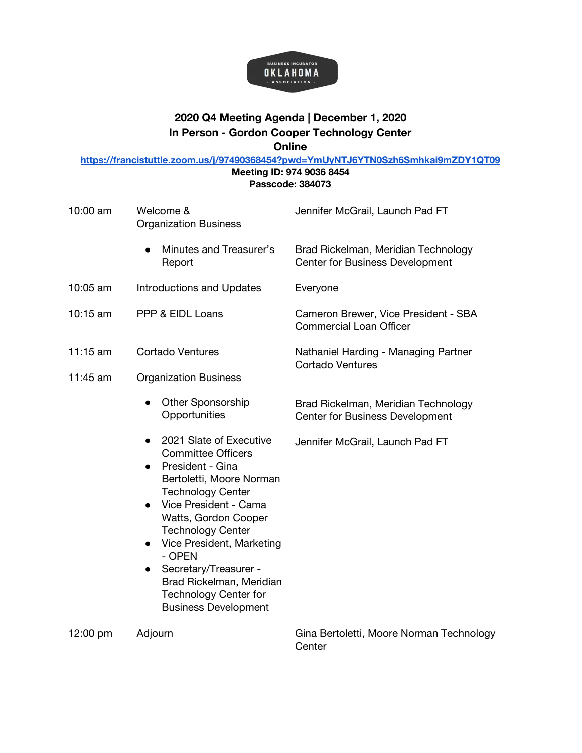

## **2020 Q4 Meeting Agenda | December 1, 2020 In Person - Gordon Cooper Technology Center Online**

**<https://francistuttle.zoom.us/j/97490368454?pwd=YmUyNTJ6YTN0Szh6Smhkai9mZDY1QT09>**

**Meeting ID: 974 9036 8454 Passcode: 384073**

| 10:00 am   | Welcome &<br><b>Organization Business</b>                                                                                                                                                                                                                                                                                                                                                                       | Jennifer McGrail, Launch Pad FT                                               |
|------------|-----------------------------------------------------------------------------------------------------------------------------------------------------------------------------------------------------------------------------------------------------------------------------------------------------------------------------------------------------------------------------------------------------------------|-------------------------------------------------------------------------------|
|            | Minutes and Treasurer's<br>Report                                                                                                                                                                                                                                                                                                                                                                               | Brad Rickelman, Meridian Technology<br><b>Center for Business Development</b> |
| 10:05 am   | <b>Introductions and Updates</b>                                                                                                                                                                                                                                                                                                                                                                                | Everyone                                                                      |
| 10:15 am   | PPP & EIDL Loans                                                                                                                                                                                                                                                                                                                                                                                                | Cameron Brewer, Vice President - SBA<br><b>Commercial Loan Officer</b>        |
| $11:15$ am | <b>Cortado Ventures</b>                                                                                                                                                                                                                                                                                                                                                                                         | Nathaniel Harding - Managing Partner<br><b>Cortado Ventures</b>               |
| 11:45 am   | <b>Organization Business</b>                                                                                                                                                                                                                                                                                                                                                                                    |                                                                               |
|            | <b>Other Sponsorship</b><br>Opportunities                                                                                                                                                                                                                                                                                                                                                                       | Brad Rickelman, Meridian Technology<br><b>Center for Business Development</b> |
|            | 2021 Slate of Executive<br><b>Committee Officers</b><br>President - Gina<br>$\bullet$<br>Bertoletti, Moore Norman<br><b>Technology Center</b><br>Vice President - Cama<br>$\bullet$<br>Watts, Gordon Cooper<br><b>Technology Center</b><br>Vice President, Marketing<br>- OPEN<br>Secretary/Treasurer -<br>$\bullet$<br>Brad Rickelman, Meridian<br><b>Technology Center for</b><br><b>Business Development</b> | Jennifer McGrail, Launch Pad FT                                               |
| 12:00 pm   | Adjourn                                                                                                                                                                                                                                                                                                                                                                                                         | Gina Bertoletti, Moore Norman Technology<br>Center                            |